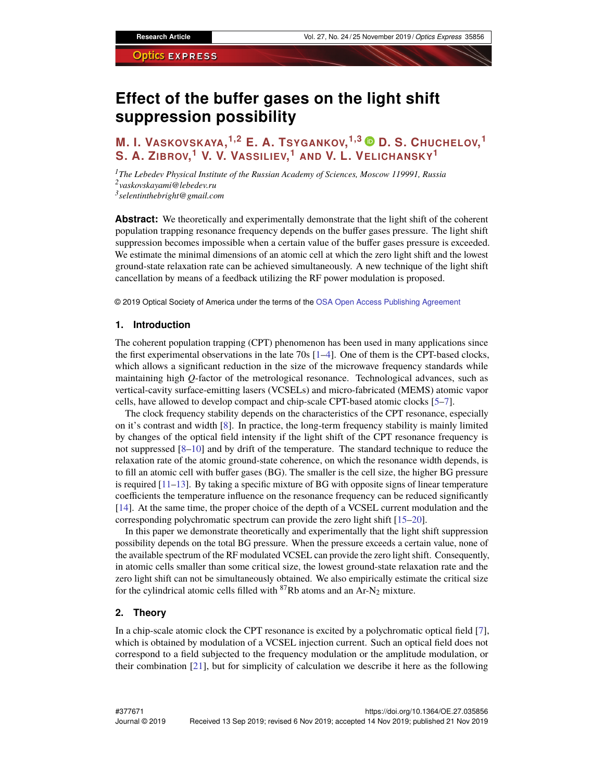# **Effect of the buffer gases on the light shift suppression possibility**

## **M. I. VASKOVSKAYA, 1,2 E. A. TSYGANKOV, 1,3 D. S. CHUCHELOV, 1 S. A. ZIBROV, <sup>1</sup> V. V. VASSILIEV, <sup>1</sup> AND V. L. VELICHANSKY<sup>1</sup>**

*<sup>1</sup>The Lebedev Physical Institute of the Russian Academy of Sciences, Moscow 119991, Russia 2 vaskovskayami@lebedev.ru 3 selentinthebright@gmail.com*

**Abstract:** We theoretically and experimentally demonstrate that the light shift of the coherent population trapping resonance frequency depends on the buffer gases pressure. The light shift suppression becomes impossible when a certain value of the buffer gases pressure is exceeded. We estimate the minimal dimensions of an atomic cell at which the zero light shift and the lowest ground-state relaxation rate can be achieved simultaneously. A new technique of the light shift cancellation by means of a feedback utilizing the RF power modulation is proposed.

© 2019 Optical Society of America under the terms of the [OSA Open Access Publishing Agreement](https://doi.org/10.1364/OA_License_v1)

### **1. Introduction**

The coherent population trapping (CPT) phenomenon has been used in many applications since the first experimental observations in the late  $70s$   $[1–4]$  $[1–4]$ . One of them is the CPT-based clocks, which allows a significant reduction in the size of the microwave frequency standards while maintaining high *Q*-factor of the metrological resonance. Technological advances, such as vertical-cavity surface-emitting lasers (VCSELs) and micro-fabricated (MEMS) atomic vapor cells, have allowed to develop compact and chip-scale CPT-based atomic clocks [\[5–](#page-8-1)[7\]](#page-8-2).

The clock frequency stability depends on the characteristics of the CPT resonance, especially on it's contrast and width [\[8\]](#page-8-3). In practice, the long-term frequency stability is mainly limited by changes of the optical field intensity if the light shift of the CPT resonance frequency is not suppressed [\[8](#page-8-3)[–10\]](#page-8-4) and by drift of the temperature. The standard technique to reduce the relaxation rate of the atomic ground-state coherence, on which the resonance width depends, is to fill an atomic cell with buffer gases (BG). The smaller is the cell size, the higher BG pressure is required [\[11–](#page-8-5)[13\]](#page-8-6). By taking a specific mixture of BG with opposite signs of linear temperature coefficients the temperature influence on the resonance frequency can be reduced significantly [\[14\]](#page-8-7). At the same time, the proper choice of the depth of a VCSEL current modulation and the corresponding polychromatic spectrum can provide the zero light shift [\[15–](#page-8-8)[20\]](#page-8-9).

In this paper we demonstrate theoretically and experimentally that the light shift suppression possibility depends on the total BG pressure. When the pressure exceeds a certain value, none of the available spectrum of the RF modulated VCSEL can provide the zero light shift. Consequently, in atomic cells smaller than some critical size, the lowest ground-state relaxation rate and the zero light shift can not be simultaneously obtained. We also empirically estimate the critical size for the cylindrical atomic cells filled with  ${}^{87}Rb$  atoms and an Ar-N<sub>2</sub> mixture.

### <span id="page-0-0"></span>**2. Theory**

In a chip-scale atomic clock the CPT resonance is excited by a polychromatic optical field [\[7\]](#page-8-2), which is obtained by modulation of a VCSEL injection current. Such an optical field does not correspond to a field subjected to the frequency modulation or the amplitude modulation, or their combination [\[21\]](#page-8-10), but for simplicity of calculation we describe it here as the following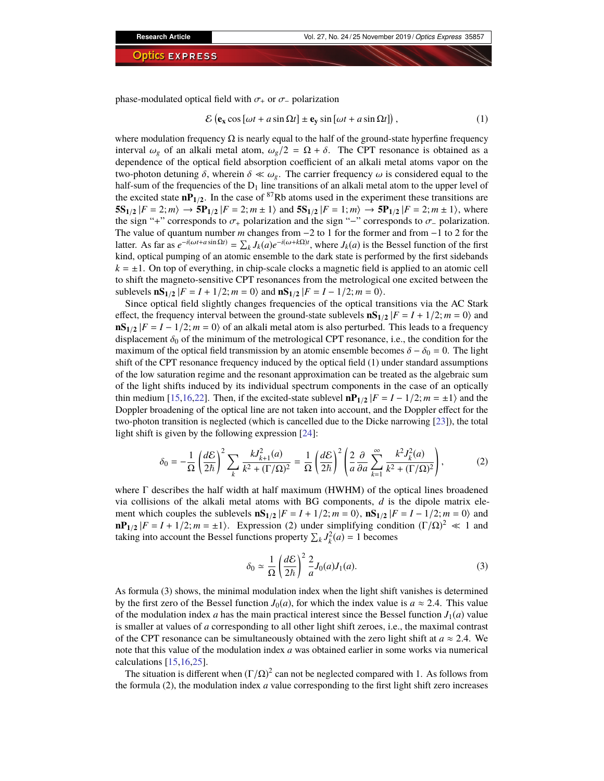phase-modulated optical field with  $\sigma_+$  or  $\sigma_-$  polarization

$$
\mathcal{E}\left(\mathbf{e}_{\mathbf{x}}\cos\left[\omega t + a\sin\Omega t\right] \pm \mathbf{e}_{\mathbf{y}}\sin\left[\omega t + a\sin\Omega t\right]\right),\tag{1}
$$

where modulation frequency  $\Omega$  is nearly equal to the half of the ground-state hyperfine frequency interval  $\omega_g$  of an alkali metal atom,  $\omega_g/2 = \Omega + \delta$ . The CPT resonance is obtained as a dependence of the optical field absorption coefficient of an alkali metal atoms vapor on the two-photon detuning  $\delta$ , wherein  $\delta \ll \omega_g$ . The carrier frequency  $\omega$  is considered equal to the half-sum of the frequencies of the  $D_1$  line transitions of an alkali metal atom to the upper level of the excited state  $nP_{1/2}$ . In the case of <sup>87</sup>Rb atoms used in the experiment these transitions are  $5S_{1/2}$   $|F = 2; m \rangle \rightarrow 5P_{1/2}$   $|F = 2; m \pm 1 \rangle$  and  $5S_{1/2}$   $|F = 1; m \rangle \rightarrow 5P_{1/2}$   $|F = 2; m \pm 1 \rangle$ , where the sign "+" corresponds to  $\sigma_{+}$  polarization and the sign "−" corresponds to  $\sigma_{-}$  polarization. The value of quantum number *m* changes from −2 to 1 for the former and from −1 to 2 for the latter. As far as  $e^{-i(\omega t + a \sin \Omega t)} = \sum_k J_k(a)e^{-i(\omega + k\Omega)t}$ , where  $J_k(a)$  is the Bessel function of the first kind, optical pumping of an atomic ensemble to the dark state is performed by the first sidebands  $k = \pm 1$ . On top of everything, in chip-scale clocks a magnetic field is applied to an atomic cell to shift the magneto-sensitive CPT resonances from the metrological one excited between the sublevels  $\mathbf{nS}_{1/2} |F = I + 1/2; m = 0$  and  $\mathbf{nS}_{1/2} |F = I - 1/2; m = 0$ .

Since optical field slightly changes frequencies of the optical transitions via the AC Stark effect, the frequency interval between the ground-state sublevels  $\mathbf{nS}_{1/2} |F = I + 1/2; m = 0$  and  $\textbf{nS}_{1/2}$  |*F* = *I* − 1/2; *m* = 0) of an alkali metal atom is also perturbed. This leads to a frequency displacement  $\delta_0$  of the minimum of the metrological CPT resonance, i.e., the condition for the maximum of the optical field transmission by an atomic ensemble becomes  $\delta - \delta_0 = 0$ . The light shift of the CPT resonance frequency induced by the optical field (1) under standard assumptions of the low saturation regime and the resonant approximation can be treated as the algebraic sum of the light shifts induced by its individual spectrum components in the case of an optically thin medium [\[15,](#page-8-8)[16](#page-8-11)[,22\]](#page-8-12). Then, if the excited-state sublevel  $\mathbf{nP}_{1/2}$  | $F = I - 1/2$ ;  $m = \pm 1$ } and the Doppler broadening of the optical line are not taken into account, and the Doppler effect for the two-photon transition is neglected (which is cancelled due to the Dicke narrowing [\[23\]](#page-8-13)), the total light shift is given by the following expression [\[24\]](#page-8-14):

$$
\delta_0 = -\frac{1}{\Omega} \left( \frac{d\mathcal{E}}{2\hbar} \right)^2 \sum_k \frac{k J_{k+1}^2(a)}{k^2 + (\Gamma/\Omega)^2} = \frac{1}{\Omega} \left( \frac{d\mathcal{E}}{2\hbar} \right)^2 \left( \frac{2}{a} \frac{\partial}{\partial a} \sum_{k=1}^{\infty} \frac{k^2 J_k^2(a)}{k^2 + (\Gamma/\Omega)^2} \right),\tag{2}
$$

where  $\Gamma$  describes the half width at half maximum (HWHM) of the optical lines broadened via collisions of the alkali metal atoms with BG components, *d* is the dipole matrix element which couples the sublevels  $\mathbf{nS}_{1/2} |F = I + 1/2; m = 0$ ,  $\mathbf{nS}_{1/2} |F = I - 1/2; m = 0$  and  $n\mathbf{P}_{1/2}$  |*F* = *I* + 1/2; *m* = ±1). Expression (2) under simplifying condition  $(\Gamma/\Omega)^2 \ll 1$  and taking into account the Bessel functions property  $\sum_k J_k^2(a) = 1$  becomes

$$
\delta_0 \simeq \frac{1}{\Omega} \left( \frac{d\mathcal{E}}{2\hbar} \right)^2 \frac{2}{a} J_0(a) J_1(a). \tag{3}
$$

As formula (3) shows, the minimal modulation index when the light shift vanishes is determined by the first zero of the Bessel function  $J_0(a)$ , for which the index value is  $a \approx 2.4$ . This value of the modulation index *a* has the main practical interest since the Bessel function  $J_1(a)$  value is smaller at values of *a* corresponding to all other light shift zeroes, i.e., the maximal contrast of the CPT resonance can be simultaneously obtained with the zero light shift at  $a \approx 2.4$ . We note that this value of the modulation index *a* was obtained earlier in some works via numerical calculations [\[15](#page-8-8)[,16](#page-8-11)[,25\]](#page-8-15).

The situation is different when  $(\Gamma/\Omega)^2$  can not be neglected compared with 1. As follows from the formula (2), the modulation index *a* value corresponding to the first light shift zero increases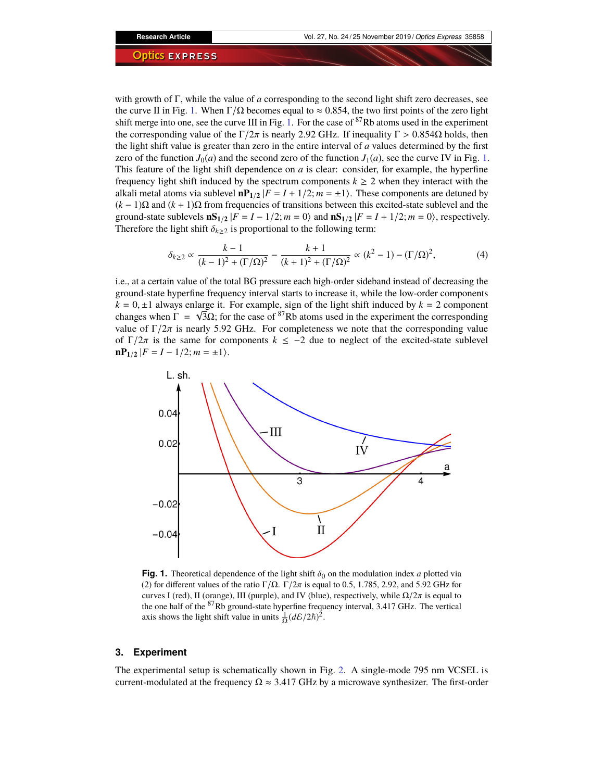with growth of Γ, while the value of *a* corresponding to the second light shift zero decreases, see the curve II in Fig. [1.](#page-2-0) When  $\Gamma/\Omega$  becomes equal to  $\approx 0.854$ , the two first points of the zero light shift merge into one, see the curve III in Fig. [1.](#page-2-0) For the case of <sup>87</sup>Rb atoms used in the experiment the corresponding value of the  $\Gamma/2\pi$  is nearly 2.92 GHz. If inequality  $\Gamma > 0.854\Omega$  holds, then the light shift value is greater than zero in the entire interval of *a* values determined by the first zero of the function  $J_0(a)$  and the second zero of the function  $J_1(a)$ , see the curve IV in Fig. [1.](#page-2-0) This feature of the light shift dependence on *a* is clear: consider, for example, the hyperfine frequency light shift induced by the spectrum components  $k \geq 2$  when they interact with the alkali metal atoms via sublevel  $\mathbf{nP}_{1/2} | F = I + 1/2; m = \pm 1$ . These components are detuned by (*k* − 1)Ω and (*k* + 1)Ω from frequencies of transitions between this excited-state sublevel and the ground-state sublevels  $\mathbf{nS}_{1/2} |F = I - 1/2; m = 0$  and  $\mathbf{nS}_{1/2} |F = I + 1/2; m = 0$ , respectively. Therefore the light shift  $\delta_{k\geq 2}$  is proportional to the following term:

$$
\delta_{k\geq 2} \propto \frac{k-1}{(k-1)^2 + (\Gamma/\Omega)^2} - \frac{k+1}{(k+1)^2 + (\Gamma/\Omega)^2} \propto (k^2 - 1) - (\Gamma/\Omega)^2,
$$
 (4)

i.e., at a certain value of the total BG pressure each high-order sideband instead of decreasing the ground-state hyperfine frequency interval starts to increase it, while the low-order components  $k = 0, \pm 1$  always enlarge it. For example, sign of the light shift induced by  $k = 2$  component changes when  $\Gamma = \sqrt{3}\Omega$ ; for the case of <sup>87</sup>Rb atoms used in the experiment the corresponding value of  $\Gamma/2\pi$  is nearly 5.92 GHz. For completeness we note that the corresponding value of  $\Gamma/2\pi$  is the same for components  $k \le -2$  due to neglect of the excited-state sublevel  $nP_{1/2}$   $|F = I - 1/2; m = \pm 1$ .



<span id="page-2-0"></span>**Fig. 1.** Theoretical dependence of the light shift  $\delta_0$  on the modulation index *a* plotted via (2) for different values of the ratio Γ/Ω. Γ/2π is equal to 0.5, 1.785, 2.92, and 5.92 GHz for curves I (red), II (orange), III (purple), and IV (blue), respectively, while  $\Omega/2\pi$  is equal to the one half of the <sup>87</sup>Rb ground-state hyperfine frequency interval, 3.417 GHz. The vertical axis shows the light shift value in units  $\frac{1}{\Omega} (d\mathcal{E}/2\hbar)^2$ .

### **3. Experiment**

The experimental setup is schematically shown in Fig. [2.](#page-3-0) A single-mode 795 nm VCSEL is current-modulated at the frequency  $\Omega \approx 3.417$  GHz by a microwave synthesizer. The first-order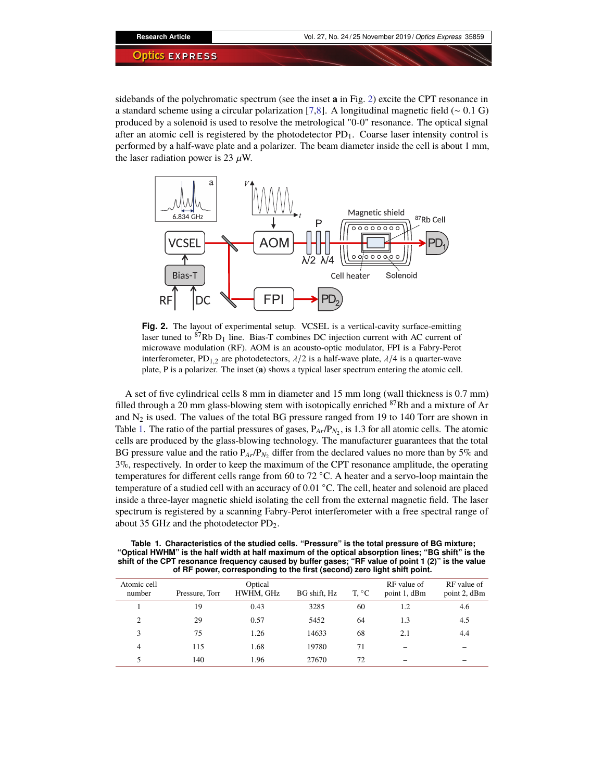sidebands of the polychromatic spectrum (see the inset **a** in Fig. [2\)](#page-3-0) excite the CPT resonance in a standard scheme using a circular polarization [\[7](#page-8-2)[,8\]](#page-8-3). A longitudinal magnetic field (∼ 0.1 G) produced by a solenoid is used to resolve the metrological "0-0" resonance. The optical signal after an atomic cell is registered by the photodetector  $PD_1$ . Coarse laser intensity control is performed by a half-wave plate and a polarizer. The beam diameter inside the cell is about 1 mm, the laser radiation power is 23  $\mu$ W.



<span id="page-3-0"></span>**Fig. 2.** The layout of experimental setup. VCSEL is a vertical-cavity surface-emitting laser tuned to  ${}^{87}$ Rb D<sub>1</sub> line. Bias-T combines DC injection current with AC current of microwave modulation (RF). AOM is an acousto-optic modulator, FPI is a Fabry-Perot interferometer, PD<sub>1,2</sub> are photodetectors,  $\lambda/2$  is a half-wave plate,  $\lambda/4$  is a quarter-wave plate, P is a polarizer. The inset (**a**) shows a typical laser spectrum entering the atomic cell.

A set of five cylindrical cells 8 mm in diameter and 15 mm long (wall thickness is 0.7 mm) filled through a 20 mm glass-blowing stem with isotopically enriched <sup>87</sup>Rb and a mixture of Ar and  $N_2$  is used. The values of the total BG pressure ranged from 19 to 140 Torr are shown in Table [1.](#page-3-1) The ratio of the partial pressures of gases,  $P_{Ar}/P_{N_2}$ , is 1.3 for all atomic cells. The atomic cells are produced by the glass-blowing technology. The manufacturer guarantees that the total BG pressure value and the ratio  $P_{Ar}/P_{N_2}$  differ from the declared values no more than by 5% and 3%, respectively. In order to keep the maximum of the CPT resonance amplitude, the operating temperatures for different cells range from 60 to 72 ◦C. A heater and a servo-loop maintain the temperature of a studied cell with an accuracy of 0.01 ◦C. The cell, heater and solenoid are placed inside a three-layer magnetic shield isolating the cell from the external magnetic field. The laser spectrum is registered by a scanning Fabry-Perot interferometer with a free spectral range of about 35 GHz and the photodetector  $PD_2$ .

<span id="page-3-1"></span>

| Table 1. Characteristics of the studied cells. "Pressure" is the total pressure of BG mixture;      |
|-----------------------------------------------------------------------------------------------------|
| "Optical HWHM" is the half width at half maximum of the optical absorption lines; "BG shift" is the |
| shift of the CPT resonance frequency caused by buffer gases; "RF value of point 1 (2)" is the value |
| of RF power, corresponding to the first (second) zero light shift point.                            |

| Atomic cell<br>number | Pressure, Torr | Optical<br>HWHM, GHz | BG shift, Hz | T, °C | RF value of<br>point 1, dBm | RF value of<br>point 2, dBm |
|-----------------------|----------------|----------------------|--------------|-------|-----------------------------|-----------------------------|
|                       | 19             | 0.43                 | 3285         | 60    | 1.2                         | 4.6                         |
| 2                     | 29             | 0.57                 | 5452         | 64    | 1.3                         | 4.5                         |
| 3                     | 75             | 1.26                 | 14633        | 68    | 2.1                         | 4.4                         |
| 4                     | 115            | 1.68                 | 19780        | 71    |                             |                             |
| 5                     | 140            | 1.96                 | 27670        | 72    |                             |                             |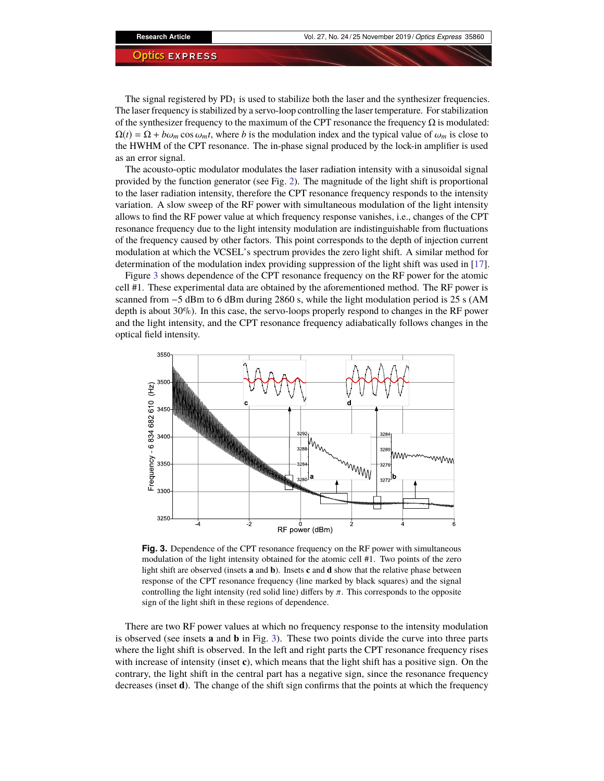**Research Article** Vol. 27, No. 24 / 25 November 2019 / *Optics Express* 35860

#### **Optics EXPRESS**

The signal registered by  $PD_1$  is used to stabilize both the laser and the synthesizer frequencies. The laser frequency is stabilized by a servo-loop controlling the laser temperature. For stabilization of the synthesizer frequency to the maximum of the CPT resonance the frequency  $\Omega$  is modulated:  $\Omega(t) = \Omega + b\omega_m \cos \omega_m t$ , where *b* is the modulation index and the typical value of  $\omega_m$  is close to the HWHM of the CPT resonance. The in-phase signal produced by the lock-in amplifier is used as an error signal.

The acousto-optic modulator modulates the laser radiation intensity with a sinusoidal signal provided by the function generator (see Fig. [2\)](#page-3-0). The magnitude of the light shift is proportional to the laser radiation intensity, therefore the CPT resonance frequency responds to the intensity variation. A slow sweep of the RF power with simultaneous modulation of the light intensity allows to find the RF power value at which frequency response vanishes, i.e., changes of the CPT resonance frequency due to the light intensity modulation are indistinguishable from fluctuations of the frequency caused by other factors. This point corresponds to the depth of injection current modulation at which the VCSEL's spectrum provides the zero light shift. A similar method for determination of the modulation index providing suppression of the light shift was used in [\[17\]](#page-8-16).

Figure [3](#page-4-0) shows dependence of the CPT resonance frequency on the RF power for the atomic cell #1. These experimental data are obtained by the aforementioned method. The RF power is scanned from  $-5$  dBm to 6 dBm during 2860 s, while the light modulation period is 25 s (AM depth is about 30%). In this case, the servo-loops properly respond to changes in the RF power and the light intensity, and the CPT resonance frequency adiabatically follows changes in the optical field intensity.



<span id="page-4-0"></span>**Fig. 3.** Dependence of the CPT resonance frequency on the RF power with simultaneous modulation of the light intensity obtained for the atomic cell #1. Two points of the zero light shift are observed (insets **a** and **b**). Insets **c** and **d** show that the relative phase between response of the CPT resonance frequency (line marked by black squares) and the signal controlling the light intensity (red solid line) differs by  $\pi$ . This corresponds to the opposite sign of the light shift in these regions of dependence.

There are two RF power values at which no frequency response to the intensity modulation is observed (see insets **a** and **b** in Fig. [3\)](#page-4-0). These two points divide the curve into three parts where the light shift is observed. In the left and right parts the CPT resonance frequency rises with increase of intensity (inset **c**), which means that the light shift has a positive sign. On the contrary, the light shift in the central part has a negative sign, since the resonance frequency decreases (inset **d**). The change of the shift sign confirms that the points at which the frequency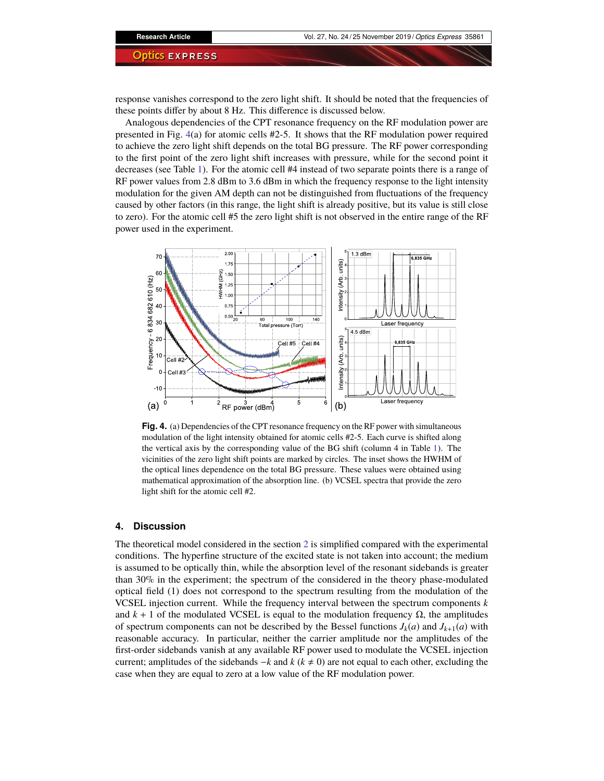response vanishes correspond to the zero light shift. It should be noted that the frequencies of these points differ by about 8 Hz. This difference is discussed below.

Analogous dependencies of the CPT resonance frequency on the RF modulation power are presented in Fig. [4\(](#page-5-0)a) for atomic cells #2-5. It shows that the RF modulation power required to achieve the zero light shift depends on the total BG pressure. The RF power corresponding to the first point of the zero light shift increases with pressure, while for the second point it decreases (see Table [1\)](#page-3-1). For the atomic cell #4 instead of two separate points there is a range of RF power values from 2.8 dBm to 3.6 dBm in which the frequency response to the light intensity modulation for the given AM depth can not be distinguished from fluctuations of the frequency caused by other factors (in this range, the light shift is already positive, but its value is still close to zero). For the atomic cell #5 the zero light shift is not observed in the entire range of the RF power used in the experiment.



<span id="page-5-0"></span>**Fig. 4.** (a) Dependencies of the CPT resonance frequency on the RF power with simultaneous modulation of the light intensity obtained for atomic cells #2-5. Each curve is shifted along the vertical axis by the corresponding value of the BG shift (column 4 in Table [1\)](#page-3-1). The vicinities of the zero light shift points are marked by circles. The inset shows the HWHM of the optical lines dependence on the total BG pressure. These values were obtained using mathematical approximation of the absorption line. (b) VCSEL spectra that provide the zero light shift for the atomic cell #2.

### **4. Discussion**

The theoretical model considered in the section [2](#page-0-0) is simplified compared with the experimental conditions. The hyperfine structure of the excited state is not taken into account; the medium is assumed to be optically thin, while the absorption level of the resonant sidebands is greater than 30% in the experiment; the spectrum of the considered in the theory phase-modulated optical field (1) does not correspond to the spectrum resulting from the modulation of the VCSEL injection current. While the frequency interval between the spectrum components *k* and  $k + 1$  of the modulated VCSEL is equal to the modulation frequency  $\Omega$ , the amplitudes of spectrum components can not be described by the Bessel functions  $J_k(a)$  and  $J_{k+1}(a)$  with reasonable accuracy. In particular, neither the carrier amplitude nor the amplitudes of the first-order sidebands vanish at any available RF power used to modulate the VCSEL injection current; amplitudes of the sidebands  $-k$  and  $k$  ( $k \neq 0$ ) are not equal to each other, excluding the case when they are equal to zero at a low value of the RF modulation power.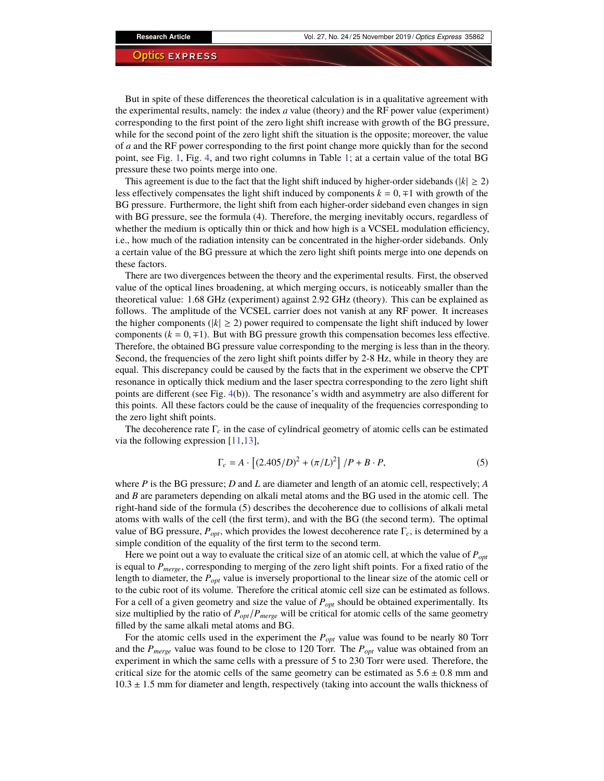But in spite of these differences the theoretical calculation is in a qualitative agreement with the experimental results, namely: the index *a* value (theory) and the RF power value (experiment) corresponding to the first point of the zero light shift increase with growth of the BG pressure, while for the second point of the zero light shift the situation is the opposite; moreover, the value of *a* and the RF power corresponding to the first point change more quickly than for the second point, see Fig. [1,](#page-2-0) Fig. [4,](#page-5-0) and two right columns in Table [1;](#page-3-1) at a certain value of the total BG pressure these two points merge into one.

This agreement is due to the fact that the light shift induced by higher-order sidebands ( $|k| \ge 2$ ) less effectively compensates the light shift induced by components *k* = 0, ∓1 with growth of the BG pressure. Furthermore, the light shift from each higher-order sideband even changes in sign with BG pressure, see the formula (4). Therefore, the merging inevitably occurs, regardless of whether the medium is optically thin or thick and how high is a VCSEL modulation efficiency, i.e., how much of the radiation intensity can be concentrated in the higher-order sidebands. Only a certain value of the BG pressure at which the zero light shift points merge into one depends on these factors.

There are two divergences between the theory and the experimental results. First, the observed value of the optical lines broadening, at which merging occurs, is noticeably smaller than the theoretical value: 1.68 GHz (experiment) against 2.92 GHz (theory). This can be explained as follows. The amplitude of the VCSEL carrier does not vanish at any RF power. It increases the higher components ( $|k| \ge 2$ ) power required to compensate the light shift induced by lower components  $(k = 0, \pm 1)$ . But with BG pressure growth this compensation becomes less effective. Therefore, the obtained BG pressure value corresponding to the merging is less than in the theory. Second, the frequencies of the zero light shift points differ by 2-8 Hz, while in theory they are equal. This discrepancy could be caused by the facts that in the experiment we observe the CPT resonance in optically thick medium and the laser spectra corresponding to the zero light shift points are different (see Fig. [4\(](#page-5-0)b)). The resonance's width and asymmetry are also different for this points. All these factors could be the cause of inequality of the frequencies corresponding to the zero light shift points.

The decoherence rate Γ*<sup>c</sup>* in the case of cylindrical geometry of atomic cells can be estimated via the following expression [\[11,](#page-8-5)[13\]](#page-8-6),

$$
\Gamma_c = A \cdot \left[ (2.405/D)^2 + (\pi/L)^2 \right] / P + B \cdot P,\tag{5}
$$

where *P* is the BG pressure; *D* and *L* are diameter and length of an atomic cell, respectively; *A* and *B* are parameters depending on alkali metal atoms and the BG used in the atomic cell. The right-hand side of the formula (5) describes the decoherence due to collisions of alkali metal atoms with walls of the cell (the first term), and with the BG (the second term). The optimal value of BG pressure,  $P_{opt}$ , which provides the lowest decoherence rate  $\Gamma_c$ , is determined by a simple condition of the equality of the first term to the second term.

Here we point out a way to evaluate the critical size of an atomic cell, at which the value of *Popt* is equal to *Pmerge*, corresponding to merging of the zero light shift points. For a fixed ratio of the length to diameter, the *Popt* value is inversely proportional to the linear size of the atomic cell or to the cubic root of its volume. Therefore the critical atomic cell size can be estimated as follows. For a cell of a given geometry and size the value of *Popt* should be obtained experimentally. Its size multiplied by the ratio of *Popt*/*Pmerge* will be critical for atomic cells of the same geometry filled by the same alkali metal atoms and BG.

For the atomic cells used in the experiment the  $P_{opt}$  value was found to be nearly 80 Torr and the *Pmerge* value was found to be close to 120 Torr. The *Popt* value was obtained from an experiment in which the same cells with a pressure of 5 to 230 Torr were used. Therefore, the critical size for the atomic cells of the same geometry can be estimated as  $5.6 \pm 0.8$  mm and  $10.3 \pm 1.5$  mm for diameter and length, respectively (taking into account the walls thickness of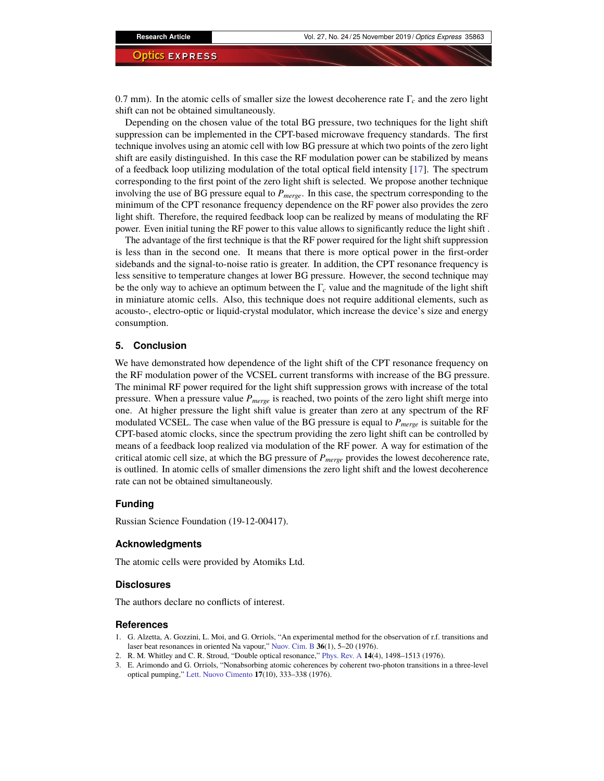0.7 mm). In the atomic cells of smaller size the lowest decoherence rate Γ*<sup>c</sup>* and the zero light shift can not be obtained simultaneously.

Depending on the chosen value of the total BG pressure, two techniques for the light shift suppression can be implemented in the CPT-based microwave frequency standards. The first technique involves using an atomic cell with low BG pressure at which two points of the zero light shift are easily distinguished. In this case the RF modulation power can be stabilized by means of a feedback loop utilizing modulation of the total optical field intensity [\[17\]](#page-8-16). The spectrum corresponding to the first point of the zero light shift is selected. We propose another technique involving the use of BG pressure equal to *Pmerge*. In this case, the spectrum corresponding to the minimum of the CPT resonance frequency dependence on the RF power also provides the zero light shift. Therefore, the required feedback loop can be realized by means of modulating the RF power. Even initial tuning the RF power to this value allows to significantly reduce the light shift .

The advantage of the first technique is that the RF power required for the light shift suppression is less than in the second one. It means that there is more optical power in the first-order sidebands and the signal-to-noise ratio is greater. In addition, the CPT resonance frequency is less sensitive to temperature changes at lower BG pressure. However, the second technique may be the only way to achieve an optimum between the Γ*<sup>c</sup>* value and the magnitude of the light shift in miniature atomic cells. Also, this technique does not require additional elements, such as acousto-, electro-optic or liquid-crystal modulator, which increase the device's size and energy consumption.

### **5. Conclusion**

We have demonstrated how dependence of the light shift of the CPT resonance frequency on the RF modulation power of the VCSEL current transforms with increase of the BG pressure. The minimal RF power required for the light shift suppression grows with increase of the total pressure. When a pressure value *Pmerge* is reached, two points of the zero light shift merge into one. At higher pressure the light shift value is greater than zero at any spectrum of the RF modulated VCSEL. The case when value of the BG pressure is equal to *Pmerge* is suitable for the CPT-based atomic clocks, since the spectrum providing the zero light shift can be controlled by means of a feedback loop realized via modulation of the RF power. A way for estimation of the critical atomic cell size, at which the BG pressure of *Pmerge* provides the lowest decoherence rate, is outlined. In atomic cells of smaller dimensions the zero light shift and the lowest decoherence rate can not be obtained simultaneously.

#### **Funding**

Russian Science Foundation (19-12-00417).

### **Acknowledgments**

The atomic cells were provided by Atomiks Ltd.

#### **Disclosures**

The authors declare no conflicts of interest.

### **References**

- <span id="page-7-0"></span>1. G. Alzetta, A. Gozzini, L. Moi, and G. Orriols, "An experimental method for the observation of r.f. transitions and laser beat resonances in oriented Na vapour," [Nuov. Cim. B](https://doi.org/10.1007/BF02749417) **36**(1), 5–20 (1976).
- 2. R. M. Whitley and C. R. Stroud, "Double optical resonance," [Phys. Rev. A](https://doi.org/10.1103/PhysRevA.14.1498) **14**(4), 1498–1513 (1976).
- 3. E. Arimondo and G. Orriols, "Nonabsorbing atomic coherences by coherent two-photon transitions in a three-level optical pumping," [Lett. Nuovo Cimento](https://doi.org/10.1007/BF02746514) **17**(10), 333–338 (1976).